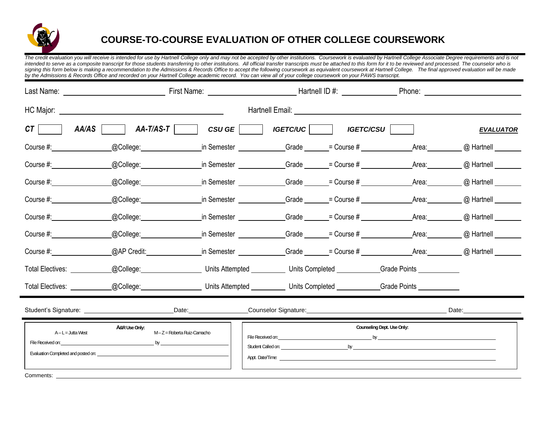

## **COURSE-TO-COURSE EVALUATION OF OTHER COLLEGE COURSEWORK**

*The credit evaluation you will receive is intended for use by Hartnell College only and may not be accepted by other institutions. Coursework is evaluated by Hartnell College Associate Degree requirements and is not*  intended to serve as a composite transcript for those students transferring to other institutions. All official transfer transcripts must be attached to this form for it to be reviewed and processed. The counselor who is signing this form below is making a recommendation to the Admissions & Records Office to accept the following coursework as equivalent coursework at Hartnell College. The final approved evaluation will be made *by the Admissions & Records Office and recorded on your Hartnell College academic record. You can view all of your college coursework on your PAWS transcript.*

| AA/AS<br>CTI D                                                                                                                                                                                                                                       | AA-T/AS-T     CSU GE     IGETC/UC                                                                                                                                                                                                                                             |                                                                                                                              |                            | <b>IGETC/CSU</b>                                                                 |             | <b>EVALUATOR</b>        |
|------------------------------------------------------------------------------------------------------------------------------------------------------------------------------------------------------------------------------------------------------|-------------------------------------------------------------------------------------------------------------------------------------------------------------------------------------------------------------------------------------------------------------------------------|------------------------------------------------------------------------------------------------------------------------------|----------------------------|----------------------------------------------------------------------------------|-------------|-------------------------|
|                                                                                                                                                                                                                                                      | @College:_________________                                                                                                                                                                                                                                                    |                                                                                                                              |                            | in Semester _______________Grade _______= Course # _____________________________ |             | @ Hartnell              |
|                                                                                                                                                                                                                                                      |                                                                                                                                                                                                                                                                               | @College: 		 in Semester 		 Grade 		 = Course # 		 Area: 	 @ Hartnell                                                        |                            |                                                                                  |             |                         |
| Course #: <u>_______________</u>                                                                                                                                                                                                                     |                                                                                                                                                                                                                                                                               | _@College:_____________________in Semester _______________Grade _______= Course # _________________                          |                            |                                                                                  | Area:       | @ Hartnell              |
|                                                                                                                                                                                                                                                      |                                                                                                                                                                                                                                                                               | _@College:____________________in Semester ______________Grade _______= Course # _______                                      |                            |                                                                                  |             | Area: @ Hartnell ______ |
|                                                                                                                                                                                                                                                      | _@College:_________________                                                                                                                                                                                                                                                   |                                                                                                                              |                            | in Semester ______________Grade ______= Course # _______________________________ | Area: Area: | @ Hartnell              |
|                                                                                                                                                                                                                                                      |                                                                                                                                                                                                                                                                               | _@College:____________________in Semester ______________Grade _______= Course # ___________________                          |                            |                                                                                  |             | Area: @ Hartnell ______ |
| Course #:                                                                                                                                                                                                                                            |                                                                                                                                                                                                                                                                               | _@AP Credit:_________________in Semester ______________Grade ______= Course # _____________Area: ________ @ Hartnell _______ |                            |                                                                                  |             |                         |
| Total Electives: ___________                                                                                                                                                                                                                         |                                                                                                                                                                                                                                                                               | _@College:_____________________Units Attempted ___________Units Completed ___________Grade Points ____________               |                            |                                                                                  |             |                         |
| Total Electives: ____________@College: ____________________Units Attempted ___________Units Completed ___________Grade Points ______________                                                                                                         |                                                                                                                                                                                                                                                                               |                                                                                                                              |                            |                                                                                  |             |                         |
|                                                                                                                                                                                                                                                      |                                                                                                                                                                                                                                                                               |                                                                                                                              |                            |                                                                                  |             |                         |
| $A-L = Jutta West$<br>File Received on: The contract of the contract of the contract of the contract of the contract of the contract of the contract of the contract of the contract of the contract of the contract of the contract of the contract | A&R Use Only:<br>M-Z = Roberta Ruiz-Camacho<br>Evaluation Completed and posted on: Evaluation of the control of the control of the control of the control of the control of the control of the control of the control of the control of the control of the control of the con |                                                                                                                              | Counseling Dept. Use Only: |                                                                                  |             |                         |
| Comments:                                                                                                                                                                                                                                            |                                                                                                                                                                                                                                                                               |                                                                                                                              |                            |                                                                                  |             |                         |